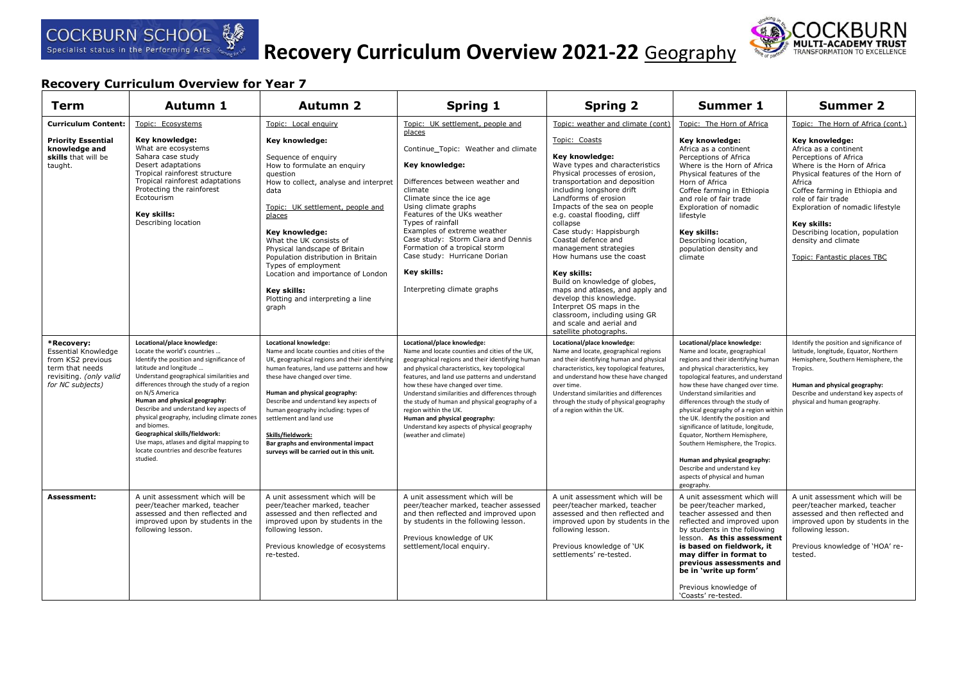

# **Recovery Curriculum Overview 2021-22** Geography



| <b>Term</b>                                                                                                                     | <b>Autumn 1</b>                                                                                                                                                                                                                                                                                                                                                                                                                                                                                                            | <b>Autumn 2</b>                                                                                                                                                                                                                                                                                                                                                                                                                                           | <b>Spring 1</b>                                                                                                                                                                                                                                                                                                                                                                                                                                                                                                   | <b>Spring 2</b>                                                                                                                                                                                                                                                                                                                                                                                                                                                                                                                                                                                                          | <b>Summer 1</b>                                                                                                                                                                                                                                                                                                                                                                                                                                                                                                                                                                                     | <b>Summer 2</b>                                                                                                                                                                                                                                                                                                                                                                        |
|---------------------------------------------------------------------------------------------------------------------------------|----------------------------------------------------------------------------------------------------------------------------------------------------------------------------------------------------------------------------------------------------------------------------------------------------------------------------------------------------------------------------------------------------------------------------------------------------------------------------------------------------------------------------|-----------------------------------------------------------------------------------------------------------------------------------------------------------------------------------------------------------------------------------------------------------------------------------------------------------------------------------------------------------------------------------------------------------------------------------------------------------|-------------------------------------------------------------------------------------------------------------------------------------------------------------------------------------------------------------------------------------------------------------------------------------------------------------------------------------------------------------------------------------------------------------------------------------------------------------------------------------------------------------------|--------------------------------------------------------------------------------------------------------------------------------------------------------------------------------------------------------------------------------------------------------------------------------------------------------------------------------------------------------------------------------------------------------------------------------------------------------------------------------------------------------------------------------------------------------------------------------------------------------------------------|-----------------------------------------------------------------------------------------------------------------------------------------------------------------------------------------------------------------------------------------------------------------------------------------------------------------------------------------------------------------------------------------------------------------------------------------------------------------------------------------------------------------------------------------------------------------------------------------------------|----------------------------------------------------------------------------------------------------------------------------------------------------------------------------------------------------------------------------------------------------------------------------------------------------------------------------------------------------------------------------------------|
| <b>Curriculum Content:</b><br><b>Priority Essential</b><br>knowledge and<br>skills that will be<br>taught.                      | Topic: Ecosystems<br>Key knowledge:<br>What are ecosystems<br>Sahara case study<br>Desert adaptations<br>Tropical rainforest structure<br>Tropical rainforest adaptations<br>Protecting the rainforest<br>Ecotourism<br><b>Kev skills:</b><br>Describing location                                                                                                                                                                                                                                                          | Topic: Local enquiry<br>Key knowledge:<br>Sequence of enquiry<br>How to formulate an enquiry<br>question<br>How to collect, analyse and interpret<br>data<br>Topic: UK settlement, people and<br>places<br>Key knowledge:<br>What the UK consists of<br>Physical landscape of Britain<br>Population distribution in Britain<br>Types of employment<br>Location and importance of London<br>Key skills:<br>Plotting and interpreting a line<br>graph       | Topic: UK settlement, people and<br>places<br>Continue_Topic: Weather and climate<br>Key knowledge:<br>Differences between weather and<br>climate<br>Climate since the ice age<br>Using climate graphs<br>Features of the UKs weather<br>Types of rainfall<br>Examples of extreme weather<br>Case study: Storm Ciara and Dennis<br>Formation of a tropical storm<br>Case study: Hurricane Dorian<br>Key skills:<br>Interpreting climate graphs                                                                    | Topic: weather and climate (cont)<br>Topic: Coasts<br>Key knowledge:<br>Wave types and characteristics<br>Physical processes of erosion,<br>transportation and deposition<br>including longshore drift<br>Landforms of erosion<br>Impacts of the sea on people<br>e.g. coastal flooding, cliff<br>collapse<br>Case study: Happisburgh<br>Coastal defence and<br>management strategies<br>How humans use the coast<br>Key skills:<br>Build on knowledge of globes,<br>maps and atlases, and apply and<br>develop this knowledge.<br>Interpret OS maps in the<br>classroom, including using GR<br>and scale and aerial and | Topic: The Horn of Africa<br>Key knowledge:<br>Africa as a continent<br>Perceptions of Africa<br>Where is the Horn of Africa<br>Physical features of the<br>Horn of Africa<br>Coffee farming in Ethiopia<br>and role of fair trade<br>Exploration of nomadic<br>lifestyle<br>Key skills:<br>Describing location,<br>population density and<br>climate                                                                                                                                                                                                                                               | Topic: The Horn of Africa (cont.)<br>Key knowledge:<br>Africa as a continent<br>Perceptions of Africa<br>Where is the Horn of Africa<br>Physical features of the Horn of<br>Africa<br>Coffee farming in Ethiopia and<br>role of fair trade<br>Exploration of nomadic lifestyle<br>Key skills:<br>Describing location, population<br>density and climate<br>Topic: Fantastic places TBC |
| *Recovery:<br><b>Essential Knowledge</b><br>from KS2 previous<br>term that needs<br>revisiting. (only valid<br>for NC subjects) | Locational/place knowledge:<br>Locate the world's countries<br>Identify the position and significance of<br>latitude and longitude<br>Understand geographical similarities and<br>differences through the study of a region<br>on N/S America<br>Human and physical geography:<br>Describe and understand key aspects of<br>physical geography, including climate zones<br>and biomes.<br>Geographical skills/fieldwork:<br>Use maps, atlases and digital mapping to<br>locate countries and describe features<br>studied. | Locational knowledge:<br>Name and locate counties and cities of the<br>UK, geographical regions and their identifying<br>human features, land use patterns and how<br>these have changed over time.<br>Human and physical geography:<br>Describe and understand key aspects of<br>human geography including: types of<br>settlement and land use<br>Skills/fieldwork:<br>Bar graphs and environmental impact<br>surveys will be carried out in this unit. | Locational/place knowledge:<br>Name and locate counties and cities of the UK,<br>geographical regions and their identifying human<br>and physical characteristics, key topological<br>features, and land use patterns and understand<br>how these have changed over time.<br>Understand similarities and differences through<br>the study of human and physical geography of a<br>region within the UK.<br>Human and physical geography:<br>Understand key aspects of physical geography<br>(weather and climate) | satellite photographs.<br>Locational/place knowledge:<br>Name and locate, geographical regions<br>and their identifying human and physical<br>characteristics, key topological features,<br>and understand how these have changed<br>over time.<br>Understand similarities and differences<br>through the study of physical geography<br>of a region within the UK.                                                                                                                                                                                                                                                      | Locational/place knowledge:<br>Name and locate, geographical<br>regions and their identifying human<br>and physical characteristics, key<br>topological features, and understand<br>how these have changed over time.<br>Understand similarities and<br>differences through the study of<br>physical geography of a region within<br>the UK. Identify the position and<br>significance of latitude, longitude,<br>Equator, Northern Hemisphere,<br>Southern Hemisphere, the Tropics.<br>Human and physical geography:<br>Describe and understand key<br>aspects of physical and human<br>geography. | Identify the position and significance of<br>latitude, longitude, Equator, Northern<br>Hemisphere, Southern Hemisphere, the<br>Tropics.<br>Human and physical geography:<br>Describe and understand key aspects of<br>physical and human geography.                                                                                                                                    |
| Assessment:                                                                                                                     | A unit assessment which will be<br>peer/teacher marked, teacher<br>assessed and then reflected and<br>improved upon by students in the<br>following lesson.                                                                                                                                                                                                                                                                                                                                                                | A unit assessment which will be<br>peer/teacher marked, teacher<br>assessed and then reflected and<br>improved upon by students in the<br>following lesson.<br>Previous knowledge of ecosystems<br>re-tested.                                                                                                                                                                                                                                             | A unit assessment which will be<br>peer/teacher marked, teacher assessed<br>and then reflected and improved upon<br>by students in the following lesson.<br>Previous knowledge of UK<br>settlement/local enquiry.                                                                                                                                                                                                                                                                                                 | A unit assessment which will be<br>peer/teacher marked, teacher<br>assessed and then reflected and<br>improved upon by students in the<br>following lesson.<br>Previous knowledge of 'UK<br>settlements' re-tested.                                                                                                                                                                                                                                                                                                                                                                                                      | A unit assessment which will<br>be peer/teacher marked,<br>teacher assessed and then<br>reflected and improved upon<br>by students in the following<br>lesson. As this assessment<br>is based on fieldwork, it<br>may differ in format to<br>previous assessments and<br>be in 'write up form'<br>Previous knowledge of<br>'Coasts' re-tested.                                                                                                                                                                                                                                                      | A unit assessment which will be<br>peer/teacher marked, teacher<br>assessed and then reflected and<br>improved upon by students in the<br>following lesson.<br>Previous knowledge of 'HOA' re-<br>tested.                                                                                                                                                                              |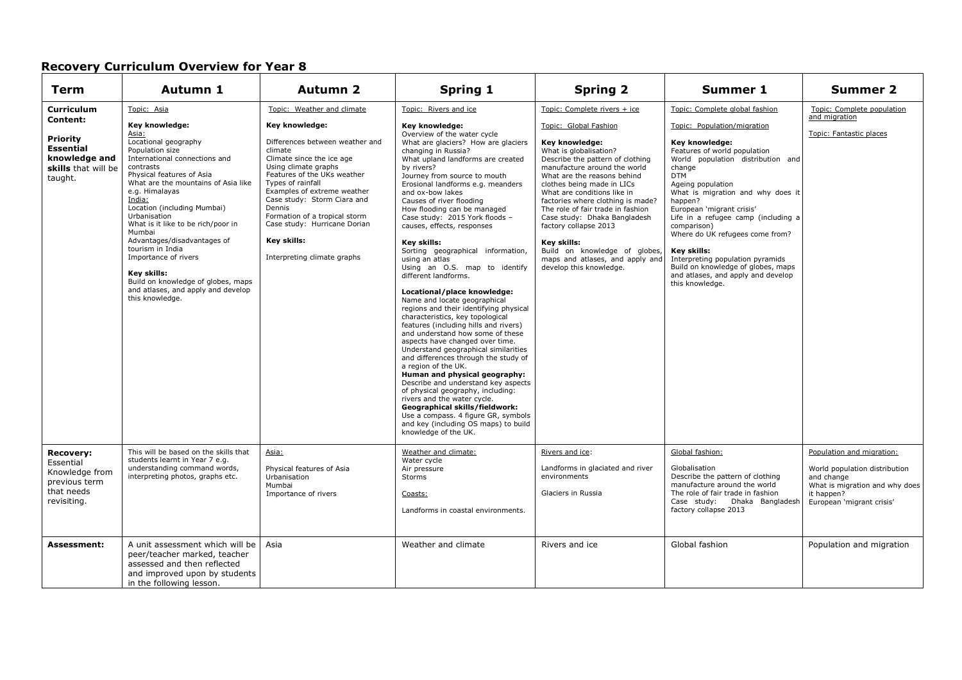| Term                                                                                                                    | Autumn 1                                                                                                                                                                                                                                                                                                                                                                                                                                                                                                                | <b>Autumn 2</b>                                                                                                                                                                                                                                                                                                                                                                            | <b>Spring 1</b>                                                                                                                                                                                                                                                                                                                                                                                                                                                                                                                                                                                                                                                                                                                                                                                                                                                                                                                                                                                                                                                                                                                                                                                     | <b>Spring 2</b>                                                                                                                                                                                                                                                                                                                                                                                                                                                                                                    | Summer 1                                                                                                                                                                                                                                                                                                                                                                                                                                                                                                                  | <b>Summer 2</b>                                                                                                                                       |
|-------------------------------------------------------------------------------------------------------------------------|-------------------------------------------------------------------------------------------------------------------------------------------------------------------------------------------------------------------------------------------------------------------------------------------------------------------------------------------------------------------------------------------------------------------------------------------------------------------------------------------------------------------------|--------------------------------------------------------------------------------------------------------------------------------------------------------------------------------------------------------------------------------------------------------------------------------------------------------------------------------------------------------------------------------------------|-----------------------------------------------------------------------------------------------------------------------------------------------------------------------------------------------------------------------------------------------------------------------------------------------------------------------------------------------------------------------------------------------------------------------------------------------------------------------------------------------------------------------------------------------------------------------------------------------------------------------------------------------------------------------------------------------------------------------------------------------------------------------------------------------------------------------------------------------------------------------------------------------------------------------------------------------------------------------------------------------------------------------------------------------------------------------------------------------------------------------------------------------------------------------------------------------------|--------------------------------------------------------------------------------------------------------------------------------------------------------------------------------------------------------------------------------------------------------------------------------------------------------------------------------------------------------------------------------------------------------------------------------------------------------------------------------------------------------------------|---------------------------------------------------------------------------------------------------------------------------------------------------------------------------------------------------------------------------------------------------------------------------------------------------------------------------------------------------------------------------------------------------------------------------------------------------------------------------------------------------------------------------|-------------------------------------------------------------------------------------------------------------------------------------------------------|
| <b>Curriculum</b><br>Content:<br><b>Priority</b><br><b>Essential</b><br>knowledge and<br>skills that will be<br>taught. | Topic: Asia<br>Key knowledge:<br>Asia:<br>Locational geography<br>Population size<br>International connections and<br>contrasts<br>Physical features of Asia<br>What are the mountains of Asia like<br>e.g. Himalayas<br>India:<br>Location (including Mumbai)<br>Urbanisation<br>What is it like to be rich/poor in<br>Mumbai<br>Advantages/disadvantages of<br>tourism in India<br>Importance of rivers<br>Key skills:<br>Build on knowledge of globes, maps<br>and atlases, and apply and develop<br>this knowledge. | Topic: Weather and climate<br>Key knowledge:<br>Differences between weather and<br>climate<br>Climate since the ice age<br>Using climate graphs<br>Features of the UKs weather<br>Types of rainfall<br>Examples of extreme weather<br>Case study: Storm Ciara and<br>Dennis<br>Formation of a tropical storm<br>Case study: Hurricane Dorian<br>Key skills:<br>Interpreting climate graphs | Topic: Rivers and ice<br>Key knowledge:<br>Overview of the water cycle<br>What are glaciers? How are glaciers<br>changing in Russia?<br>What upland landforms are created<br>by rivers?<br>Journey from source to mouth<br>Erosional landforms e.g. meanders<br>and ox-bow lakes<br>Causes of river flooding<br>How flooding can be managed<br>Case study: 2015 York floods -<br>causes, effects, responses<br>Key skills:<br>Sorting geographical information,<br>using an atlas<br>Using an O.S. map to identify<br>different landforms.<br>Locational/place knowledge:<br>Name and locate geographical<br>regions and their identifying physical<br>characteristics, key topological<br>features (including hills and rivers)<br>and understand how some of these<br>aspects have changed over time.<br>Understand geographical similarities<br>and differences through the study of<br>a region of the UK.<br>Human and physical geography:<br>Describe and understand key aspects<br>of physical geography, including:<br>rivers and the water cycle.<br>Geographical skills/fieldwork:<br>Use a compass. 4 figure GR, symbols<br>and key (including OS maps) to build<br>knowledge of the UK. | Topic: Complete rivers + ice<br>Topic: Global Fashion<br>Key knowledge:<br>What is globalisation?<br>Describe the pattern of clothing<br>manufacture around the world<br>What are the reasons behind<br>clothes being made in LICs<br>What are conditions like in<br>factories where clothing is made?<br>The role of fair trade in fashion<br>Case study: Dhaka Bangladesh<br>factory collapse 2013<br>Key skills:<br>Build on knowledge of globes,<br>maps and atlases, and apply and<br>develop this knowledge. | Topic: Complete global fashion<br>Topic: Population/migration<br>Key knowledge:<br>Features of world population<br>World population distribution and<br>change<br><b>DTM</b><br>Ageing population<br>What is migration and why does it<br>happen?<br>European 'migrant crisis'<br>Life in a refugee camp (including a<br>comparison)<br>Where do UK refugees come from?<br>Key skills:<br>Interpreting population pyramids<br>Build on knowledge of globes, maps<br>and atlases, and apply and develop<br>this knowledge. | Topic: Complete population<br>and migration<br>Topic: Fantastic places                                                                                |
| <b>Recovery:</b><br>Essential<br>Knowledge from<br>previous term<br>that needs<br>revisiting.                           | This will be based on the skills that<br>students learnt in Year 7 e.g.<br>understanding command words,<br>interpreting photos, graphs etc.                                                                                                                                                                                                                                                                                                                                                                             | Asia:<br>Physical features of Asia<br>Urbanisation<br>Mumbai<br>Importance of rivers                                                                                                                                                                                                                                                                                                       | Weather and climate:<br>Water cycle<br>Air pressure<br><b>Storms</b><br>Coasts:<br>Landforms in coastal environments.                                                                                                                                                                                                                                                                                                                                                                                                                                                                                                                                                                                                                                                                                                                                                                                                                                                                                                                                                                                                                                                                               | Rivers and ice:<br>Landforms in glaciated and river<br>environments<br>Glaciers in Russia                                                                                                                                                                                                                                                                                                                                                                                                                          | Global fashion:<br>Globalisation<br>Describe the pattern of clothing<br>manufacture around the world<br>The role of fair trade in fashion<br>Case study: Dhaka Bangladesh<br>factory collapse 2013                                                                                                                                                                                                                                                                                                                        | Population and migration:<br>World population distribution<br>and change<br>What is migration and why does<br>it happen?<br>European 'migrant crisis' |
| <b>Assessment:</b>                                                                                                      | A unit assessment which will be<br>peer/teacher marked, teacher<br>assessed and then reflected<br>and improved upon by students<br>in the following lesson.                                                                                                                                                                                                                                                                                                                                                             | Asia                                                                                                                                                                                                                                                                                                                                                                                       | Weather and climate                                                                                                                                                                                                                                                                                                                                                                                                                                                                                                                                                                                                                                                                                                                                                                                                                                                                                                                                                                                                                                                                                                                                                                                 | Rivers and ice                                                                                                                                                                                                                                                                                                                                                                                                                                                                                                     | Global fashion                                                                                                                                                                                                                                                                                                                                                                                                                                                                                                            | Population and migration                                                                                                                              |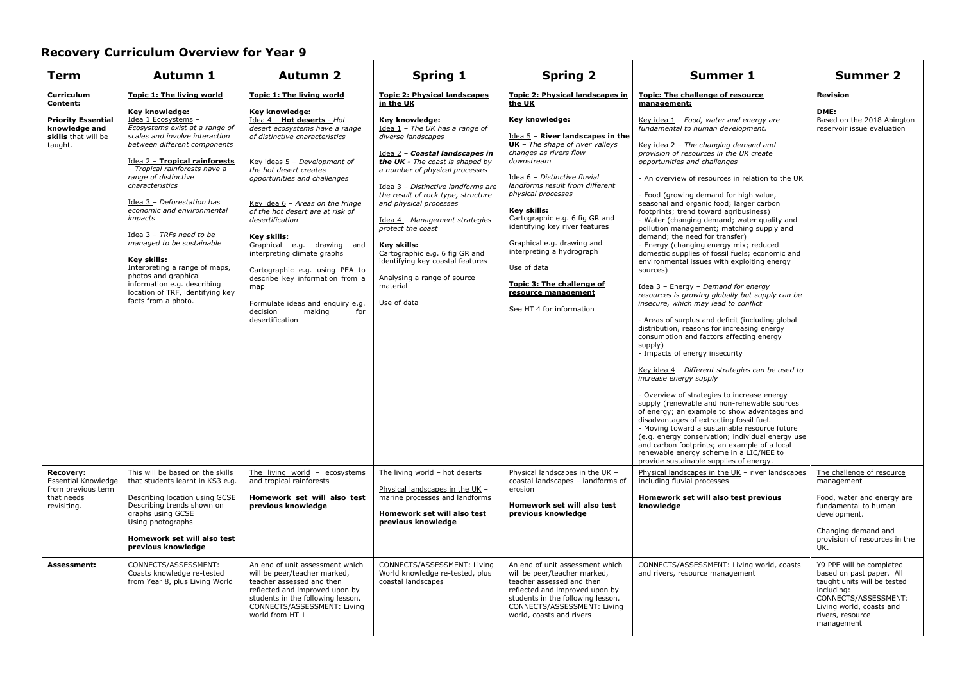| <b>Term</b>                                                                                            | Autumn 1                                                                                                                                                                                                                                                                                                                                                                                                                                                                                                                                                                                              | <b>Autumn 2</b>                                                                                                                                                                                                                                                                                                                                                                                                                                                                                                                                                                  | <b>Spring 1</b>                                                                                                                                                                                                                                                                                                                                                                                                                                                                                                                                      | <b>Spring 2</b>                                                                                                                                                                                                                                                                                                                                                                                                                                                                                                    | <b>Summer 1</b>                                                                                                                                                                                                                                                                                                                                                                                                                                                                                                                                                                                                                                                                                                                                                                                                                                                                                                                                                                                                                                                                                                                                                                                                                                                                                                                                                                                                                                                                                                                                                               | <b>Summer 2</b>                                                                                                                                                                         |
|--------------------------------------------------------------------------------------------------------|-------------------------------------------------------------------------------------------------------------------------------------------------------------------------------------------------------------------------------------------------------------------------------------------------------------------------------------------------------------------------------------------------------------------------------------------------------------------------------------------------------------------------------------------------------------------------------------------------------|----------------------------------------------------------------------------------------------------------------------------------------------------------------------------------------------------------------------------------------------------------------------------------------------------------------------------------------------------------------------------------------------------------------------------------------------------------------------------------------------------------------------------------------------------------------------------------|------------------------------------------------------------------------------------------------------------------------------------------------------------------------------------------------------------------------------------------------------------------------------------------------------------------------------------------------------------------------------------------------------------------------------------------------------------------------------------------------------------------------------------------------------|--------------------------------------------------------------------------------------------------------------------------------------------------------------------------------------------------------------------------------------------------------------------------------------------------------------------------------------------------------------------------------------------------------------------------------------------------------------------------------------------------------------------|-------------------------------------------------------------------------------------------------------------------------------------------------------------------------------------------------------------------------------------------------------------------------------------------------------------------------------------------------------------------------------------------------------------------------------------------------------------------------------------------------------------------------------------------------------------------------------------------------------------------------------------------------------------------------------------------------------------------------------------------------------------------------------------------------------------------------------------------------------------------------------------------------------------------------------------------------------------------------------------------------------------------------------------------------------------------------------------------------------------------------------------------------------------------------------------------------------------------------------------------------------------------------------------------------------------------------------------------------------------------------------------------------------------------------------------------------------------------------------------------------------------------------------------------------------------------------------|-----------------------------------------------------------------------------------------------------------------------------------------------------------------------------------------|
| Curriculum<br>Content:<br><b>Priority Essential</b><br>knowledge and<br>skills that will be<br>taught. | <b>Topic 1: The living world</b><br>Key knowledge:<br>Idea 1 Ecosystems -<br>Ecosystems exist at a range of<br>scales and involve interaction<br>between different components<br>Idea 2 - Tropical rainforests<br>- Tropical rainforests have a<br>range of distinctive<br>characteristics<br>Idea 3 - Deforestation has<br>economic and environmental<br><i>impacts</i><br>Idea $3$ - TRFs need to be<br>managed to be sustainable<br>Key skills:<br>Interpreting a range of maps,<br>photos and graphical<br>information e.g. describing<br>location of TRF, identifying key<br>facts from a photo. | Topic 1: The living world<br>Key knowledge:<br>Idea 4 - Hot deserts - Hot<br>desert ecosystems have a range<br>of distinctive characteristics<br>Key ideas 5 - Development of<br>the hot desert creates<br>opportunities and challenges<br>Key idea $6$ - Areas on the fringe<br>of the hot desert are at risk of<br>desertification<br>Key skills:<br>Graphical e.g. drawing and<br>interpreting climate graphs<br>Cartographic e.g. using PEA to<br>describe key information from a<br>map<br>Formulate ideas and enquiry e.g.<br>decision<br>making<br>for<br>desertification | <b>Topic 2: Physical landscapes</b><br>in the UK<br>Key knowledge:<br>Idea 1 - The UK has a range of<br>diverse landscapes<br>Idea 2 - Coastal landscapes in<br>the UK - The coast is shaped by<br>a number of physical processes<br>Idea 3 - Distinctive landforms are<br>the result of rock type, structure<br>and physical processes<br>Idea 4 - Management strategies<br>protect the coast<br><b>Key skills:</b><br>Cartographic e.g. 6 fig GR and<br>identifying key coastal features<br>Analysing a range of source<br>material<br>Use of data | Topic 2: Physical landscapes in<br>the UK<br>Key knowledge:<br>Idea 5 - River landscapes in the<br>$UK$ - The shape of river valleys<br>changes as rivers flow<br>downstream<br>Idea 6 - Distinctive fluvial<br>landforms result from different<br>physical processes<br>Key skills:<br>Cartographic e.g. 6 fig GR and<br>identifying key river features<br>Graphical e.g. drawing and<br>interpreting a hydrograph<br>Use of data<br>Topic 3: The challenge of<br>resource management<br>See HT 4 for information | Topic: The challenge of resource<br>management:<br>Key idea 1 - Food, water and energy are<br>fundamental to human development.<br>Key idea 2 - The changing demand and<br>provision of resources in the UK create<br>opportunities and challenges<br>- An overview of resources in relation to the UK<br>- Food (growing demand for high value,<br>seasonal and organic food; larger carbon<br>footprints; trend toward agribusiness)<br>- Water (changing demand; water quality and<br>pollution management; matching supply and<br>demand; the need for transfer)<br>- Energy (changing energy mix; reduced<br>domestic supplies of fossil fuels; economic and<br>environmental issues with exploiting energy<br>sources)<br>Idea 3 - Energy - Demand for energy<br>resources is growing globally but supply can be<br>insecure, which may lead to conflict<br>- Areas of surplus and deficit (including global<br>distribution, reasons for increasing energy<br>consumption and factors affecting energy<br>supply)<br>- Impacts of energy insecurity<br>Key idea 4 - Different strategies can be used to<br>increase energy supply<br>- Overview of strategies to increase energy<br>supply (renewable and non-renewable sources<br>of energy; an example to show advantages and<br>disadvantages of extracting fossil fuel.<br>- Moving toward a sustainable resource future<br>(e.g. energy conservation; individual energy use<br>and carbon footprints; an example of a local<br>renewable energy scheme in a LIC/NEE to<br>provide sustainable supplies of energy. | <b>Revision</b><br>DME:<br>Based on the 2018 Abington<br>reservoir issue evaluation                                                                                                     |
| <b>Recovery:</b><br><b>Essential Knowledge</b><br>from previous term<br>that needs<br>revisiting.      | This will be based on the skills<br>that students learnt in KS3 e.g.<br>Describing location using GCSE<br>Describing trends shown on<br>graphs using GCSE<br>Using photographs<br>Homework set will also test<br>previous knowledge                                                                                                                                                                                                                                                                                                                                                                   | The living world - ecosystems<br>and tropical rainforests<br>Homework set will also test<br>previous knowledge                                                                                                                                                                                                                                                                                                                                                                                                                                                                   | The living world - hot deserts<br>Physical landscapes in the UK -<br>marine processes and landforms<br>Homework set will also test<br>previous knowledge                                                                                                                                                                                                                                                                                                                                                                                             | Physical landscapes in the UK -<br>coastal landscapes - landforms of<br>erosion<br>Homework set will also test<br>previous knowledge                                                                                                                                                                                                                                                                                                                                                                               | Physical landscapes in the UK - river landscapes<br>including fluvial processes<br>Homework set will also test previous<br>knowledge                                                                                                                                                                                                                                                                                                                                                                                                                                                                                                                                                                                                                                                                                                                                                                                                                                                                                                                                                                                                                                                                                                                                                                                                                                                                                                                                                                                                                                          | The challenge of resource<br>management<br>Food, water and energy are<br>fundamental to human<br>development.<br>Changing demand and<br>provision of resources in the<br>UK.            |
| Assessment:                                                                                            | CONNECTS/ASSESSMENT:<br>Coasts knowledge re-tested<br>from Year 8, plus Living World                                                                                                                                                                                                                                                                                                                                                                                                                                                                                                                  | An end of unit assessment which<br>will be peer/teacher marked,<br>teacher assessed and then<br>reflected and improved upon by<br>students in the following lesson.<br>CONNECTS/ASSESSMENT: Living<br>world from HT 1                                                                                                                                                                                                                                                                                                                                                            | CONNECTS/ASSESSMENT: Living<br>World knowledge re-tested, plus<br>coastal landscapes                                                                                                                                                                                                                                                                                                                                                                                                                                                                 | An end of unit assessment which<br>will be peer/teacher marked,<br>teacher assessed and then<br>reflected and improved upon by<br>students in the following lesson.<br>CONNECTS/ASSESSMENT: Living<br>world, coasts and rivers                                                                                                                                                                                                                                                                                     | CONNECTS/ASSESSMENT: Living world, coasts<br>and rivers, resource management                                                                                                                                                                                                                                                                                                                                                                                                                                                                                                                                                                                                                                                                                                                                                                                                                                                                                                                                                                                                                                                                                                                                                                                                                                                                                                                                                                                                                                                                                                  | Y9 PPE will be completed<br>based on past paper. All<br>taught units will be tested<br>including:<br>CONNECTS/ASSESSMENT:<br>Living world, coasts and<br>rivers, resource<br>management |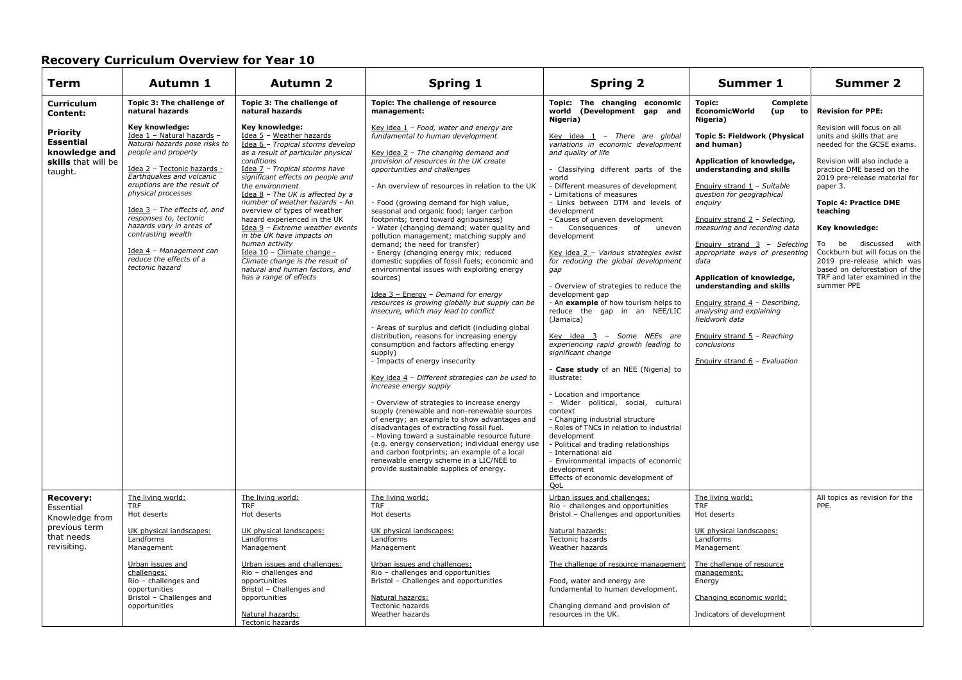| Term                                                                                                                    | Autumn 1                                                                                                                                                                                                                                                                                                                                                                                                                                                    | <b>Autumn 2</b>                                                                                                                                                                                                                                                                                                                                                                                                                                                                                                                                                                                                                  | <b>Spring 1</b>                                                                                                                                                                                                                                                                                                                                                                                                                                                                                                                                                                                                                                                                                                                                                                                                                                                                                                                                                                                                                                                                                                                                                                                                                                                                                                                                                                           | <b>Spring 2</b>                                                                                                                                                                                                                                                                                                                                                                                                                                                                                                                                                                                                                                                                                                                                                                                                                                                                                                                                                                                     | Summer 1                                                                                                                                                                                                                                                                                                                                                                                                                                                                                                                                                                                                                           | Summer 2                                                                                                                                                                                                                                                                                                                                                                                                                                                          |
|-------------------------------------------------------------------------------------------------------------------------|-------------------------------------------------------------------------------------------------------------------------------------------------------------------------------------------------------------------------------------------------------------------------------------------------------------------------------------------------------------------------------------------------------------------------------------------------------------|----------------------------------------------------------------------------------------------------------------------------------------------------------------------------------------------------------------------------------------------------------------------------------------------------------------------------------------------------------------------------------------------------------------------------------------------------------------------------------------------------------------------------------------------------------------------------------------------------------------------------------|-------------------------------------------------------------------------------------------------------------------------------------------------------------------------------------------------------------------------------------------------------------------------------------------------------------------------------------------------------------------------------------------------------------------------------------------------------------------------------------------------------------------------------------------------------------------------------------------------------------------------------------------------------------------------------------------------------------------------------------------------------------------------------------------------------------------------------------------------------------------------------------------------------------------------------------------------------------------------------------------------------------------------------------------------------------------------------------------------------------------------------------------------------------------------------------------------------------------------------------------------------------------------------------------------------------------------------------------------------------------------------------------|-----------------------------------------------------------------------------------------------------------------------------------------------------------------------------------------------------------------------------------------------------------------------------------------------------------------------------------------------------------------------------------------------------------------------------------------------------------------------------------------------------------------------------------------------------------------------------------------------------------------------------------------------------------------------------------------------------------------------------------------------------------------------------------------------------------------------------------------------------------------------------------------------------------------------------------------------------------------------------------------------------|------------------------------------------------------------------------------------------------------------------------------------------------------------------------------------------------------------------------------------------------------------------------------------------------------------------------------------------------------------------------------------------------------------------------------------------------------------------------------------------------------------------------------------------------------------------------------------------------------------------------------------|-------------------------------------------------------------------------------------------------------------------------------------------------------------------------------------------------------------------------------------------------------------------------------------------------------------------------------------------------------------------------------------------------------------------------------------------------------------------|
| <b>Curriculum</b><br>Content:<br><b>Priority</b><br><b>Essential</b><br>knowledge and<br>skills that will be<br>taught. | Topic 3: The challenge of<br>natural hazards<br>Key knowledge:<br>Idea 1 - Natural hazards -<br>Natural hazards pose risks to<br>people and property<br>Idea 2 - Tectonic hazards -<br>Earthquakes and volcanic<br>eruptions are the result of<br>physical processes<br>Idea $3$ - The effects of, and<br>responses to, tectonic<br>hazards vary in areas of<br>contrasting wealth<br>Idea 4 - Management can<br>reduce the effects of a<br>tectonic hazard | Topic 3: The challenge of<br>natural hazards<br>Key knowledge:<br>Idea 5 - Weather hazards<br>Idea 6 - Tropical storms develop<br>as a result of particular physical<br>conditions<br>Idea 7 - Tropical storms have<br>significant effects on people and<br>the environment<br>Idea 8 - The UK is affected by a<br>number of weather hazards - An<br>overview of types of weather<br>hazard experienced in the UK<br>Idea 9 - Extreme weather events<br>in the UK have impacts on<br>human activity<br>Idea 10 - Climate change -<br>Climate change is the result of<br>natural and human factors, and<br>has a range of effects | Topic: The challenge of resource<br>management:<br>Key idea $1$ - Food, water and energy are<br>fundamental to human development.<br>Key idea $2$ - The changing demand and<br>provision of resources in the UK create<br>opportunities and challenges<br>- An overview of resources in relation to the UK<br>- Food (growing demand for high value,<br>seasonal and organic food; larger carbon<br>footprints; trend toward agribusiness)<br>- Water (changing demand; water quality and<br>pollution management; matching supply and<br>demand; the need for transfer)<br>- Energy (changing energy mix; reduced<br>domestic supplies of fossil fuels; economic and<br>environmental issues with exploiting energy<br>sources)<br>Idea $3$ - Energy - Demand for energy<br>resources is growing globally but supply can be<br>insecure, which may lead to conflict<br>- Areas of surplus and deficit (including global<br>distribution, reasons for increasing energy<br>consumption and factors affecting energy<br>supply)<br>- Impacts of energy insecurity<br>Key idea 4 - Different strategies can be used to<br>increase energy supply<br>- Overview of strategies to increase energy<br>supply (renewable and non-renewable sources<br>of energy; an example to show advantages and<br>disadvantages of extracting fossil fuel.<br>- Moving toward a sustainable resource future | Topic: The changing economic<br>world (Development gap and<br>Nigeria)<br>Key idea $1$ - There are global<br>variations in economic development<br>and quality of life<br>- Classifying different parts of the<br>world<br>- Different measures of development<br>- Limitations of measures<br>- Links between DTM and levels of<br>development<br>- Causes of uneven development<br>Consequences of uneven<br>development<br>Key idea 2 - Various strategies exist<br>for reducing the global development<br>gap<br>- Overview of strategies to reduce the<br>development gap<br>- An example of how tourism helps to<br>reduce the gap in an NEE/LIC<br>(Jamaica)<br>Key idea 3 - Some NEEs are<br>experiencing rapid growth leading to<br>significant change<br>- Case study of an NEE (Nigeria) to<br>illustrate:<br>- Location and importance<br>- Wider political, social, cultural<br>context<br>- Changing industrial structure<br>- Roles of TNCs in relation to industrial<br>development | Topic:<br>Complete<br><b>EconomicWorld</b><br>(up<br>to<br>Nigeria)<br><b>Topic 5: Fieldwork (Physical</b><br>and human)<br>Application of knowledge,<br>understanding and skills<br>Enquiry strand $1 -$ Suitable<br>question for geographical<br>enquiry<br>Enguiry strand $2 - Selecting$ ,<br>measuring and recording data<br>Enquiry strand 3 - Selecting<br>appropriate ways of presenting<br>data<br>Application of knowledge,<br>understanding and skills<br>Enquiry strand 4 - Describing,<br>analysing and explaining<br>fieldwork data<br>Enguiry strand 5 - Reaching<br>conclusions<br>Enquiry strand $6$ - Evaluation | <b>Revision for PPE:</b><br>Revision will focus on all<br>units and skills that are<br>needed for the GCSE exams.<br>Revision will also include a<br>practice DME based on the<br>2019 pre-release material for<br>paper 3.<br><b>Topic 4: Practice DME</b><br>teaching<br>Key knowledge:<br>To be discussed with<br>Cockburn but will focus on the<br>2019 pre-release which was<br>based on deforestation of the<br>TRF and later examined in the<br>summer PPE |
| <b>Recovery:</b>                                                                                                        | The living world:                                                                                                                                                                                                                                                                                                                                                                                                                                           | The living world:                                                                                                                                                                                                                                                                                                                                                                                                                                                                                                                                                                                                                | (e.g. energy conservation; individual energy use<br>and carbon footprints; an example of a local<br>renewable energy scheme in a LIC/NEE to<br>provide sustainable supplies of energy.<br>The living world:                                                                                                                                                                                                                                                                                                                                                                                                                                                                                                                                                                                                                                                                                                                                                                                                                                                                                                                                                                                                                                                                                                                                                                               | - Political and trading relationships<br>- International aid<br>- Environmental impacts of economic<br>development<br>Effects of economic development of<br>QoL<br>Urban issues and challenges:                                                                                                                                                                                                                                                                                                                                                                                                                                                                                                                                                                                                                                                                                                                                                                                                     | The living world:                                                                                                                                                                                                                                                                                                                                                                                                                                                                                                                                                                                                                  | All topics as revision for the                                                                                                                                                                                                                                                                                                                                                                                                                                    |
| Essential<br>Knowledge from<br>previous term                                                                            | <b>TRF</b><br>Hot deserts                                                                                                                                                                                                                                                                                                                                                                                                                                   | <b>TRF</b><br>Hot deserts                                                                                                                                                                                                                                                                                                                                                                                                                                                                                                                                                                                                        | <b>TRF</b><br>Hot deserts                                                                                                                                                                                                                                                                                                                                                                                                                                                                                                                                                                                                                                                                                                                                                                                                                                                                                                                                                                                                                                                                                                                                                                                                                                                                                                                                                                 | Rio - challenges and opportunities<br>Bristol - Challenges and opportunities                                                                                                                                                                                                                                                                                                                                                                                                                                                                                                                                                                                                                                                                                                                                                                                                                                                                                                                        | <b>TRF</b><br>Hot deserts                                                                                                                                                                                                                                                                                                                                                                                                                                                                                                                                                                                                          | PPE.                                                                                                                                                                                                                                                                                                                                                                                                                                                              |
| that needs<br>revisiting.                                                                                               | UK physical landscapes:<br>Landforms<br>Management                                                                                                                                                                                                                                                                                                                                                                                                          | UK physical landscapes:<br>Landforms<br>Management                                                                                                                                                                                                                                                                                                                                                                                                                                                                                                                                                                               | UK physical landscapes:<br>Landforms<br>Management                                                                                                                                                                                                                                                                                                                                                                                                                                                                                                                                                                                                                                                                                                                                                                                                                                                                                                                                                                                                                                                                                                                                                                                                                                                                                                                                        | Natural hazards:<br><b>Tectonic hazards</b><br>Weather hazards                                                                                                                                                                                                                                                                                                                                                                                                                                                                                                                                                                                                                                                                                                                                                                                                                                                                                                                                      | UK physical landscapes:<br>Landforms<br>Management                                                                                                                                                                                                                                                                                                                                                                                                                                                                                                                                                                                 |                                                                                                                                                                                                                                                                                                                                                                                                                                                                   |
|                                                                                                                         | Urban issues and<br>challenges:<br>Rio - challenges and<br>opportunities<br>Bristol - Challenges and<br>opportunities                                                                                                                                                                                                                                                                                                                                       | Urban issues and challenges:<br>Rio - challenges and<br>opportunities<br>Bristol - Challenges and<br>opportunities<br>Natural hazards:<br>Tectonic hazards                                                                                                                                                                                                                                                                                                                                                                                                                                                                       | Urban issues and challenges:<br>Rio - challenges and opportunities<br>Bristol - Challenges and opportunities<br>Natural hazards:<br>Tectonic hazards<br>Weather hazards                                                                                                                                                                                                                                                                                                                                                                                                                                                                                                                                                                                                                                                                                                                                                                                                                                                                                                                                                                                                                                                                                                                                                                                                                   | The challenge of resource management<br>Food, water and energy are<br>fundamental to human development.<br>Changing demand and provision of<br>resources in the UK.                                                                                                                                                                                                                                                                                                                                                                                                                                                                                                                                                                                                                                                                                                                                                                                                                                 | The challenge of resource<br>management:<br>Energy<br>Changing economic world:<br>Indicators of development                                                                                                                                                                                                                                                                                                                                                                                                                                                                                                                        |                                                                                                                                                                                                                                                                                                                                                                                                                                                                   |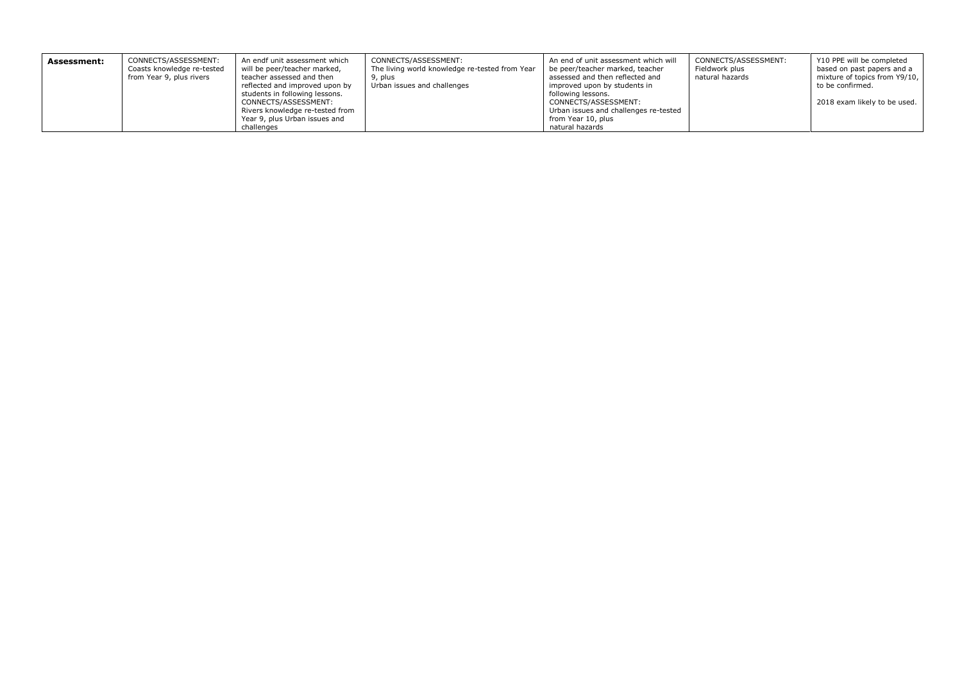| Assessment: | CONNECTS/ASSESSMENT:<br>Coasts knowledge re-tested<br>from Year 9, plus rivers | An endf unit assessment which<br>will be peer/teacher marked,<br>teacher assessed and then<br>reflected and improved upon by<br>students in following lessons.<br>CONNECTS/ASSESSMENT: | CONNECTS/ASSESSMENT:<br>The living world knowledge re-tested from Year<br>9, plus<br>Urban issues and challenges | An end of unit assessment which will<br>be peer/teacher marked, teacher<br>assessed and then reflected and<br>improved upon by students in<br>following lessons.<br>CONNECTS/ASSESSMENT: | CONNECTS/ASSESSMENT:<br>Fieldwork plus<br>natural hazards | Y10 PPE will be completed<br>based on past papers and a<br>mixture of topics from Y9/10,<br>to be confirmed.<br>2018 exam likely to be used. |
|-------------|--------------------------------------------------------------------------------|----------------------------------------------------------------------------------------------------------------------------------------------------------------------------------------|------------------------------------------------------------------------------------------------------------------|------------------------------------------------------------------------------------------------------------------------------------------------------------------------------------------|-----------------------------------------------------------|----------------------------------------------------------------------------------------------------------------------------------------------|
|             |                                                                                | Rivers knowledge re-tested from<br>Year 9, plus Urban issues and                                                                                                                       |                                                                                                                  | Urban issues and challenges re-tested<br>from Year 10, plus                                                                                                                              |                                                           |                                                                                                                                              |
|             |                                                                                | challenges                                                                                                                                                                             |                                                                                                                  | natural hazards                                                                                                                                                                          |                                                           |                                                                                                                                              |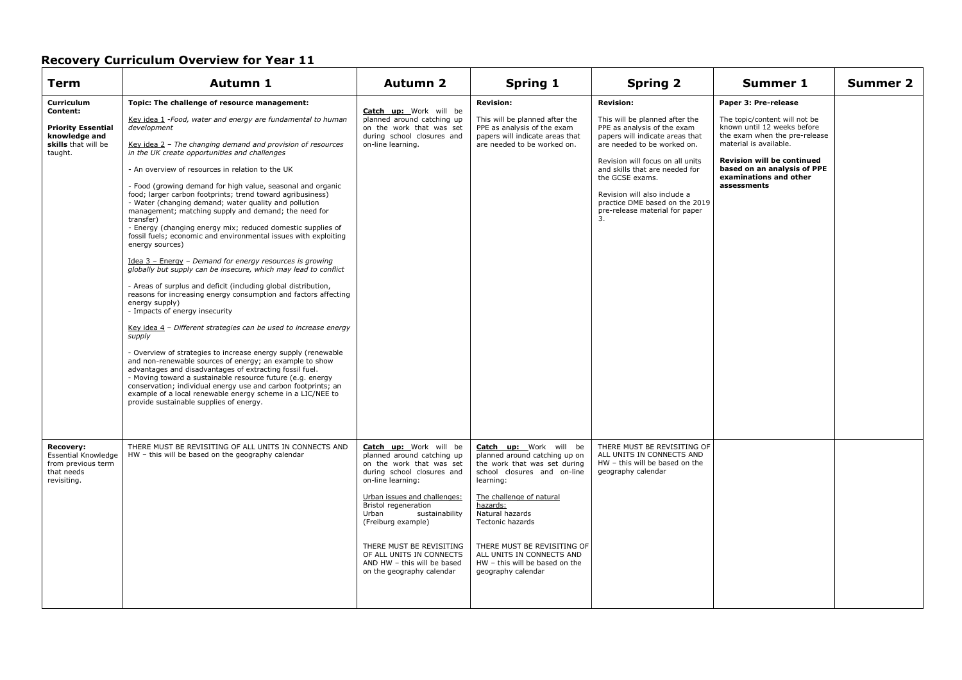| <b>Term</b>                                                                                            | Autumn 1                                                                                                                                                                                                                                                                                                                                                                                                                                                                                                                                                                                                                                                                                                                                                                                                                                                                                                                                                                                                                                                                                                                                                                                                                                                                                                                                                                                                                                                                                                                                            | <b>Autumn 2</b>                                                                                                                                                                                                                                                                                                                                                         | <b>Spring 1</b>                                                                                                                                                                                                                                                                                                                               | <b>Spring 2</b>                                                                                                                                                                                                                                                                                                                                        | Summer 1                                                                                                                                                                                                                                                     | Summer 2 |
|--------------------------------------------------------------------------------------------------------|-----------------------------------------------------------------------------------------------------------------------------------------------------------------------------------------------------------------------------------------------------------------------------------------------------------------------------------------------------------------------------------------------------------------------------------------------------------------------------------------------------------------------------------------------------------------------------------------------------------------------------------------------------------------------------------------------------------------------------------------------------------------------------------------------------------------------------------------------------------------------------------------------------------------------------------------------------------------------------------------------------------------------------------------------------------------------------------------------------------------------------------------------------------------------------------------------------------------------------------------------------------------------------------------------------------------------------------------------------------------------------------------------------------------------------------------------------------------------------------------------------------------------------------------------------|-------------------------------------------------------------------------------------------------------------------------------------------------------------------------------------------------------------------------------------------------------------------------------------------------------------------------------------------------------------------------|-----------------------------------------------------------------------------------------------------------------------------------------------------------------------------------------------------------------------------------------------------------------------------------------------------------------------------------------------|--------------------------------------------------------------------------------------------------------------------------------------------------------------------------------------------------------------------------------------------------------------------------------------------------------------------------------------------------------|--------------------------------------------------------------------------------------------------------------------------------------------------------------------------------------------------------------------------------------------------------------|----------|
| Curriculum<br>Content:<br><b>Priority Essential</b><br>knowledge and<br>skills that will be<br>taught. | Topic: The challenge of resource management:<br>Key idea 1 -Food, water and energy are fundamental to human<br>development<br>Key idea 2 - The changing demand and provision of resources<br>in the UK create opportunities and challenges<br>- An overview of resources in relation to the UK<br>- Food (growing demand for high value, seasonal and organic<br>food; larger carbon footprints; trend toward agribusiness)<br>- Water (changing demand; water quality and pollution<br>management; matching supply and demand; the need for<br>transfer)<br>- Energy (changing energy mix; reduced domestic supplies of<br>fossil fuels; economic and environmental issues with exploiting<br>energy sources)<br>Idea 3 - Energy - Demand for energy resources is growing<br>globally but supply can be insecure, which may lead to conflict<br>- Areas of surplus and deficit (including global distribution,<br>reasons for increasing energy consumption and factors affecting<br>energy supply)<br>- Impacts of energy insecurity<br>Key idea 4 - Different strategies can be used to increase energy<br>supply<br>- Overview of strategies to increase energy supply (renewable<br>and non-renewable sources of energy; an example to show<br>advantages and disadvantages of extracting fossil fuel.<br>- Moving toward a sustainable resource future (e.g. energy<br>conservation; individual energy use and carbon footprints; an<br>example of a local renewable energy scheme in a LIC/NEE to<br>provide sustainable supplies of energy. | Catch up: Work will be<br>planned around catching up<br>on the work that was set<br>during school closures and<br>on-line learning.                                                                                                                                                                                                                                     | <b>Revision:</b><br>This will be planned after the<br>PPE as analysis of the exam<br>papers will indicate areas that<br>are needed to be worked on.                                                                                                                                                                                           | <b>Revision:</b><br>This will be planned after the<br>PPE as analysis of the exam<br>papers will indicate areas that<br>are needed to be worked on.<br>Revision will focus on all units<br>and skills that are needed for<br>the GCSE exams.<br>Revision will also include a<br>practice DME based on the 2019<br>pre-release material for paper<br>3. | Paper 3: Pre-release<br>The topic/content will not be<br>known until 12 weeks before<br>the exam when the pre-release<br>material is available.<br><b>Revision will be continued</b><br>based on an analysis of PPE<br>examinations and other<br>assessments |          |
| <b>Recovery:</b><br>Essential Knowledge<br>from previous term<br>that needs<br>revisiting.             | THERE MUST BE REVISITING OF ALL UNITS IN CONNECTS AND<br>HW - this will be based on the geography calendar                                                                                                                                                                                                                                                                                                                                                                                                                                                                                                                                                                                                                                                                                                                                                                                                                                                                                                                                                                                                                                                                                                                                                                                                                                                                                                                                                                                                                                          | Catch up: Work will be<br>planned around catching up<br>on the work that was set<br>during school closures and<br>on-line learning:<br>Urban issues and challenges:<br><b>Bristol regeneration</b><br>Urban<br>sustainability<br>(Freiburg example)<br>THERE MUST BE REVISITING<br>OF ALL UNITS IN CONNECTS<br>AND HW - this will be based<br>on the geography calendar | Catch up: Work will be<br>planned around catching up on<br>the work that was set during<br>school closures and on-line<br>learning:<br>The challenge of natural<br>hazards:<br>Natural hazards<br><b>Tectonic hazards</b><br>THERE MUST BE REVISITING OF<br>ALL UNITS IN CONNECTS AND<br>HW - this will be based on the<br>geography calendar | THERE MUST BE REVISITING OF<br>ALL UNITS IN CONNECTS AND<br>HW - this will be based on the<br>geography calendar                                                                                                                                                                                                                                       |                                                                                                                                                                                                                                                              |          |